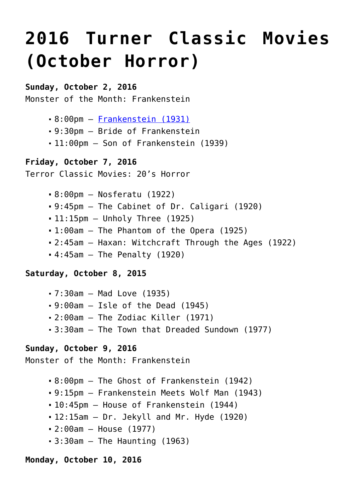# **[2016 Turner Classic Movies](https://www.halloweenmoviesontv.com/archives/2016-turner-classic-movies-october-horror/) [\(October Horror\)](https://www.halloweenmoviesontv.com/archives/2016-turner-classic-movies-october-horror/)**

## **Sunday, October 2, 2016**

Monster of the Month: Frankenstein

- 8:00pm – [Frankenstein \(1931\)](http://www.halloweenmoviesontv.com/halloween-movies-a-to-z/frankenstein-1931/)
- 9:30pm Bride of Frankenstein
- 11:00pm Son of Frankenstein (1939)

## **Friday, October 7, 2016**

Terror Classic Movies: 20's Horror

- 8:00pm Nosferatu (1922)
- 9:45pm The Cabinet of Dr. Caligari (1920)
- 11:15pm Unholy Three (1925)
- 1:00am The Phantom of the Opera (1925)
- 2:45am Haxan: Witchcraft Through the Ages (1922)
- $-4:45$ am The Penalty (1920)

## **Saturday, October 8, 2015**

- 7:30am Mad Love (1935)
- $-9:00$ am  $-$  Isle of the Dead (1945)
- 2:00am The Zodiac Killer (1971)
- 3:30am The Town that Dreaded Sundown (1977)

## **Sunday, October 9, 2016**

Monster of the Month: Frankenstein

- 8:00pm The Ghost of Frankenstein (1942)
- 9:15pm Frankenstein Meets Wolf Man (1943)
- 10:45pm House of Frankenstein (1944)
- $-12:15$ am  $-$  Dr. Jekyll and Mr. Hyde (1920)
- 2:00am House (1977)
- $-3:30$ am  $-$  The Haunting (1963)

## **Monday, October 10, 2016**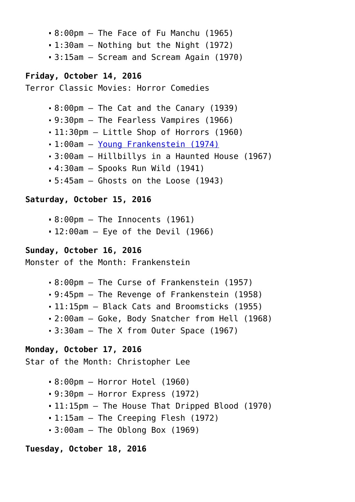- 8:00pm The Face of Fu Manchu (1965)
- 1:30am Nothing but the Night (1972)
- 3:15am Scream and Scream Again (1970)

## **Friday, October 14, 2016**

Terror Classic Movies: Horror Comedies

- 8:00pm The Cat and the Canary (1939)
- 9:30pm The Fearless Vampires (1966)
- 11:30pm Little Shop of Horrors (1960)
- 1:00am – [Young Frankenstein \(1974\)](http://www.halloweenmoviesontv.com/halloween-movies-a-to-z/young-frankenstein-1974/)
- 3:00am Hillbillys in a Haunted House (1967)
- 4:30am Spooks Run Wild (1941)
- 5:45am Ghosts on the Loose (1943)

## **Saturday, October 15, 2016**

- 8:00pm The Innocents (1961)
- 12:00am Eye of the Devil (1966)

# **Sunday, October 16, 2016**

Monster of the Month: Frankenstein

- 8:00pm The Curse of Frankenstein (1957)
- 9:45pm The Revenge of Frankenstein (1958)
- 11:15pm Black Cats and Broomsticks (1955)
- 2:00am Goke, Body Snatcher from Hell (1968)
- 3:30am The X from Outer Space (1967)

# **Monday, October 17, 2016**

Star of the Month: Christopher Lee

- 8:00pm Horror Hotel (1960)
- 9:30pm Horror Express (1972)
- 11:15pm The House That Dripped Blood (1970)
- 1:15am The Creeping Flesh (1972)
- $-3:00$ am  $-$  The Oblong Box (1969)

## **Tuesday, October 18, 2016**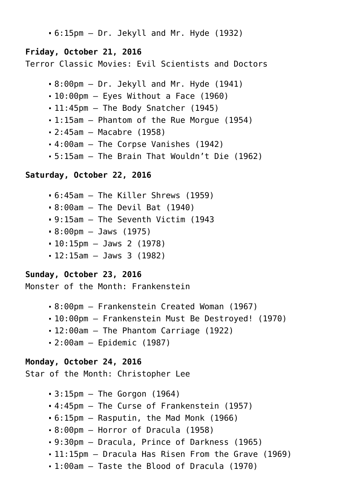6:15pm – Dr. Jekyll and Mr. Hyde (1932)

## **Friday, October 21, 2016**

Terror Classic Movies: Evil Scientists and Doctors

- 8:00pm Dr. Jekyll and Mr. Hyde (1941)
- $-10:00$ pm Eyes Without a Face (1960)
- $-11:45$ pm The Body Snatcher (1945)
- 1:15am Phantom of the Rue Morgue (1954)
- 2:45am Macabre (1958)
- 4:00am The Corpse Vanishes (1942)
- 5:15am The Brain That Wouldn't Die (1962)

#### **Saturday, October 22, 2016**

- 6:45am The Killer Shrews (1959)
- 8:00am The Devil Bat (1940)
- 9:15am The Seventh Victim (1943
- 8:00pm Jaws (1975)
- 10:15pm Jaws 2 (1978)
- 12:15am Jaws 3 (1982)

## **Sunday, October 23, 2016**

Monster of the Month: Frankenstein

- 8:00pm Frankenstein Created Woman (1967)
- 10:00pm Frankenstein Must Be Destroyed! (1970)
- 12:00am The Phantom Carriage (1922)
- 2:00am Epidemic (1987)

## **Monday, October 24, 2016**

Star of the Month: Christopher Lee

- $-3:15$ pm  $-$  The Gorgon (1964)
- 4:45pm The Curse of Frankenstein (1957)
- 6:15pm Rasputin, the Mad Monk (1966)
- 8:00pm Horror of Dracula (1958)
- 9:30pm Dracula, Prince of Darkness (1965)
- 11:15pm Dracula Has Risen From the Grave (1969)
- 1:00am Taste the Blood of Dracula (1970)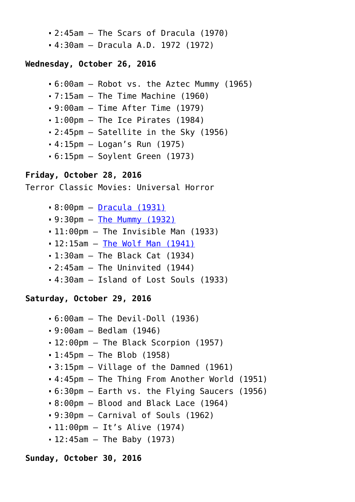- 2:45am The Scars of Dracula (1970)
- 4:30am Dracula A.D. 1972 (1972)

## **Wednesday, October 26, 2016**

```
6:00am – Robot vs. the Aztec Mummy (1965)
```
7:15am – The Time Machine (1960)

```
9:00am – Time After Time (1979)
```
- 1:00pm The Ice Pirates (1984)
- 2:45pm Satellite in the Sky (1956)
- 4:15pm Logan's Run (1975)
- 6:15pm Soylent Green (1973)

# **Friday, October 28, 2016**

Terror Classic Movies: Universal Horror

- 8:00pm – [Dracula \(1931\)](http://www.halloweenmoviesontv.com/halloween-movies-a-to-z/dracula-1931/)
- 9:30pm – [The Mummy \(1932\)](http://www.halloweenmoviesontv.com/halloween-movies-a-to-z/the-mummy-1932/)
- 11:00pm The Invisible Man (1933)
- 12:15am [The Wolf Man \(1941\)](http://www.halloweenmoviesontv.com/halloween-movies-a-to-z/the-wolf-man-1941/)
- 1:30am The Black Cat (1934)
- 2:45am The Uninvited (1944)
- 4:30am Island of Lost Souls (1933)

## **Saturday, October 29, 2016**

- 6:00am The Devil-Doll (1936)
- 9:00am Bedlam (1946)
- 12:00pm The Black Scorpion (1957)
- $-1:45$ pm  $-$  The Blob (1958)
- 3:15pm Village of the Damned (1961)
- 4:45pm The Thing From Another World (1951)
- 6:30pm Earth vs. the Flying Saucers (1956)
- 8:00pm Blood and Black Lace (1964)
- $-9:30$ pm Carnival of Souls (1962)
- 11:00pm It's Alive (1974)
- $-12:45$ am The Baby (1973)

## **Sunday, October 30, 2016**